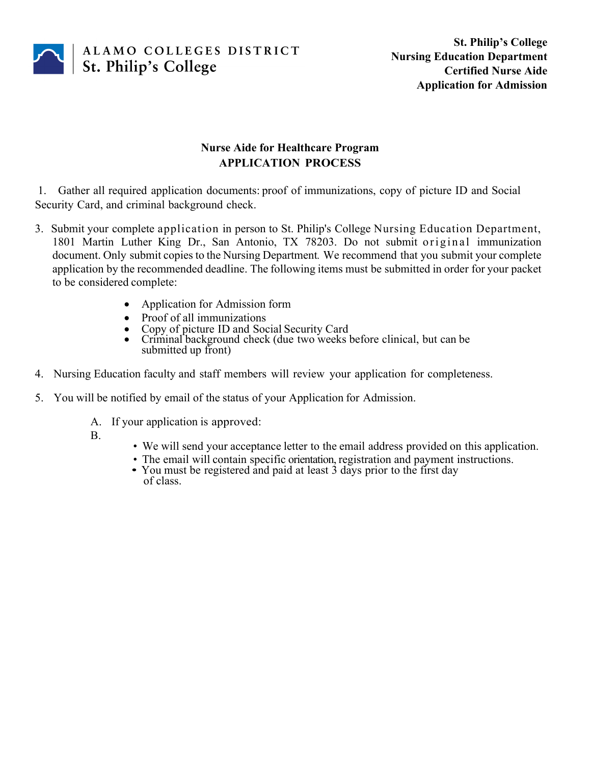

# **Nurse Aide for Healthcare Program APPLICATION PROCESS**

1. Gather all required application documents: proof of immunizations, copy of picture ID and Social Security Card, and criminal background check.

- 3. Submit your complete application in person to St. Philip's College Nursing Education Department, 1801 Martin Luther King Dr., San Antonio, TX 78203. Do not submit original immunization document. Only submit copies to the Nursing Department*.* We recommend that you submit your complete application by the recommended deadline. The following items must be submitted in order for your packet to be considered complete:
	- Application for Admission form
	-
	-
	- Proof of all immunizations Copy of picture ID and Social Security Card Criminal background check (due two weeks before clinical, but can be submitted up front)
- 4. Nursing Education faculty and staff members will review your application for completeness.
- 5. You will be notified by email of the status of your Application for Admission.
	- A. If your application is approved:
	-
	- B.<br>• We will send your acceptance letter to the email address provided on this application.
		-
		- The email will contain specific orientation, registration and payment instructions. You must be registered and paid at least <sup>3</sup> days prior to the first day of class.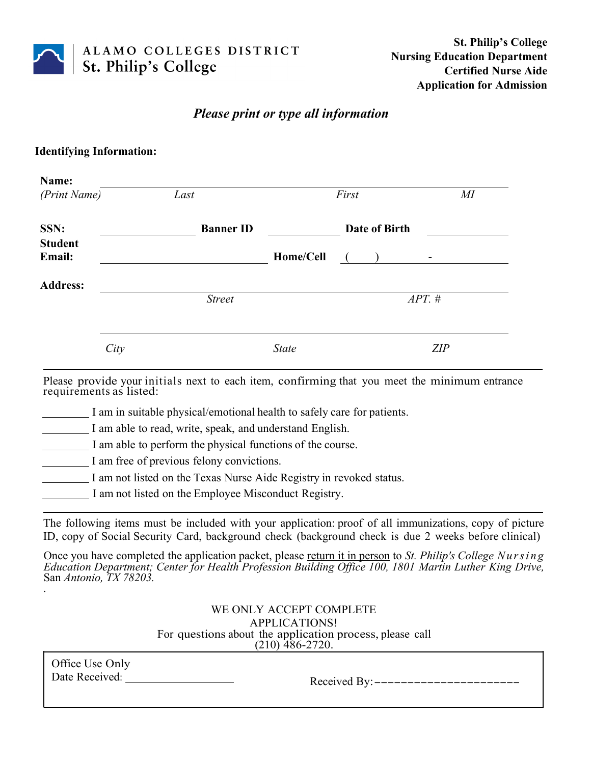

# *Please print or type all information*

### **Identifying Information:**

| Name:<br>(Print Name)    | Last |                  | First        |                                        | $M\!I$ |
|--------------------------|------|------------------|--------------|----------------------------------------|--------|
| SSN:                     |      | <b>Banner ID</b> |              | Date of Birth                          |        |
| <b>Student</b><br>Email: |      |                  | Home/Cell    | $\sqrt{2}$<br>$\overline{\phantom{a}}$ |        |
| <b>Address:</b>          |      | <b>Street</b>    |              | $APT.$ #                               |        |
|                          | City |                  | <b>State</b> |                                        | ZIP    |

Please provide your initials next to each item, confirming that you meet the minimum entrance requirements as listed:

I am in suitable physical/emotional health to safely care for patients.

I am able to read, write, speak, and understand English.

I am able to perform the physical functions of the course.

I am free of previous felony convictions.

I am not listed on the Texas Nurse Aide Registry in revoked status.

I am not listed on the Employee Misconduct Registry.

The following items must be included with your application: proof of all immunizations, copy of picture ID, copy of Social Security Card, background check (background check is due 2 weeks before clinical)

Once you have completed the application packet, please return it in person to *St. Philip's College Nursing Education Department; Center for Health Profession Building Office 100, 1801 Martin Luther King Drive,* San *Antonio, TX 78203.* .

> WE ONLY ACCEPT COMPLETE APPLICATIONS! For questions about the application process, please call  $(210)$  486-2720.

Office Use Only

Date Received: Received By:----------------------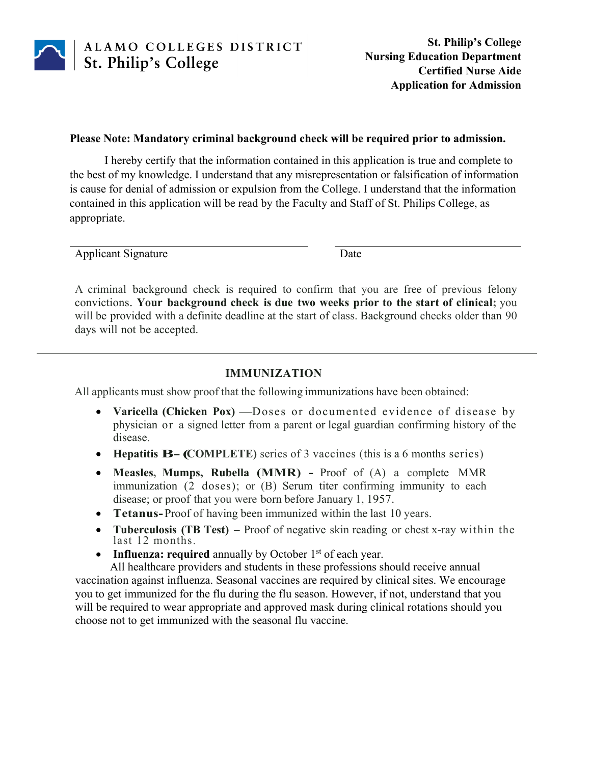

#### **Please Note: Mandatory criminal background check will be required prior to admission.**

I hereby certify that the information contained in this application is true and complete to the best of my knowledge. I understand that any misrepresentation or falsification of information is cause for denial of admission or expulsion from the College. I understand that the information contained in this application will be read by the Faculty and Staff of St. Philips College, as appropriate.

Applicant Signature Date

A criminal background check is required to confirm that you are free of previous felony convictions. **Your background check is due two weeks prior to the start of clinical;** you will be provided with a definite deadline at the start of class. Background checks older than 90 days will not be accepted.

## **IMMUNIZATION**

All applicants must show proof that the following immunizations have been obtained:

- **Varicella (Chicken Pox)** –Doses or documented evidence of disease by physician or a signed letter from a parent or legal guardian confirming history of the disease.
- **Hepatitis B-(COMPLETE)** series of 3 vaccines (this is a 6 months series)
- **Measles, Mumps, Rubella (MMR) -** Proof of (A) a complete MMR immunization (2 doses); or (B) Serum titer confirming immunity to each disease; or proof that you were born before January 1, 1957.
- **Tetanus-**Proof of having been immunized within the last 10 years.
- **Tuberculosis (TB Test)** Proof of negative skin reading or chest x-ray within the last 12 months.
- **Influenza: required** annually by October 1<sup>st</sup> of each year.

All healthcare providers and students in these professions should receive annual vaccination against influenza. Seasonal vaccines are required by clinical sites. We encourage you to get immunized for the flu during the flu season. However, if not, understand that you will be required to wear appropriate and approved mask during clinical rotations should you choose not to get immunized with the seasonal flu vaccine.